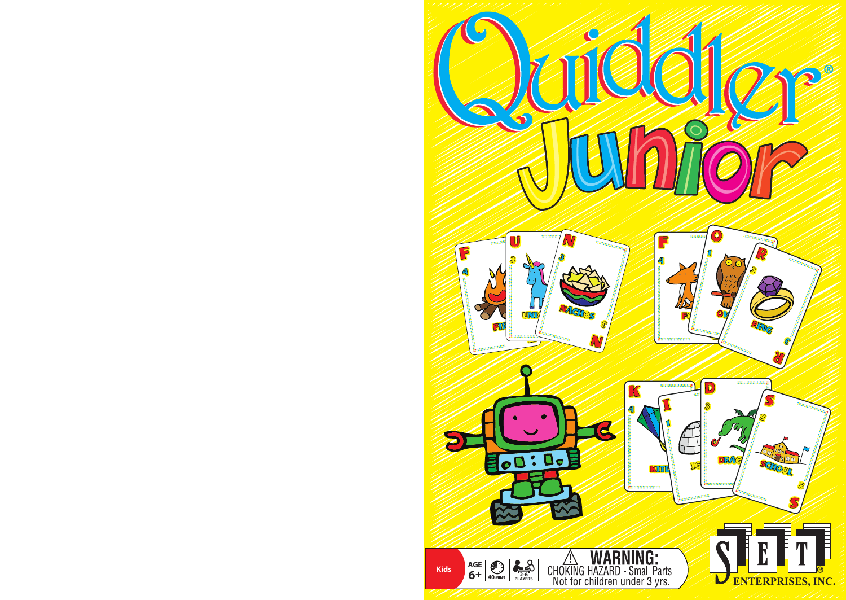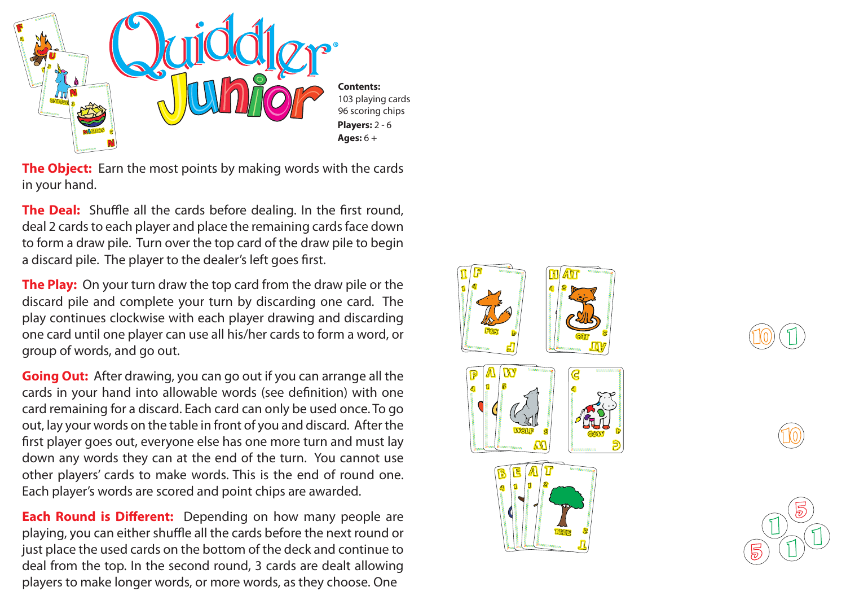

**The Object:** Earn the most points by making words with the cards in your hand.

**The Deal:** Shuffle all the cards before dealing. In the first round, deal 2 cards to each player and place the remaining cards face down to form a draw pile. Turn over the top card of the draw pile to begin a discard pile. The player to the dealer's left goes first.

**The Play:** On your turn draw the top card from the draw pile or the discard pile and complete your turn by discarding one card. The play continues clockwise with each player drawing and discarding one card until one player can use all his/her cards to form a word, or group of words, and go out.

**Going Out:** After drawing, you can go out if you can arrange all the cards in your hand into allowable words (see definition) with one card remaining for a discard. Each card can only be used once. To go out, lay your words on the table in front of you and discard. After the first player goes out, everyone else has one more turn and must lay down any words they can at the end of the turn. You cannot use other players' cards to make words. This is the end of round one. Each player's words are scored and point chips are awarded.

**Each Round is Different:** Depending on how many people are playing, you can either shuffle all the cards before the next round or just place the used cards on the bottom of the deck and continue to deal from the top. In the second round, 3 cards are dealt allowing players to make longer words, or more words, as they choose. One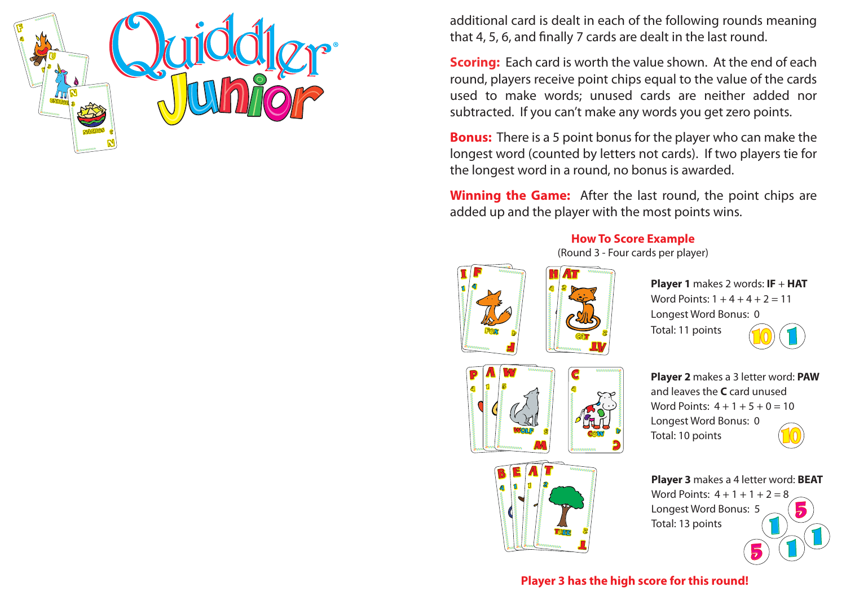additional card is dealt in each of the following rounds meaning that 4, 5, 6, and finally 7 cards are dealt in the last round.

**Scoring:** Each card is worth the value shown. At the end of each round, players receive point chips equal to the value of the cards used to make words; unused cards are neither added nor subtracted. If you can't make any words you get zero points.

**Bonus:** There is a 5 point bonus for the player who can make the longest word (counted by letters not cards). If two players tie for the longest word in a round, no bonus is awarded.

**Winning the Game:** After the last round, the point chips are added up and the player with the most points wins.

## **How To Score Example**

(Round 3 - Four cards per player)





**Player 1** makes 2 words: **IF** + **HAT** Word Points:  $1 + 4 + 4 + 2 = 11$ Longest Word Bonus: 0 Total: 11 points









**Player 3** makes a 4 letter word: **BEAT** Word Points:  $4 + 1 + 1 + 2 = 8$ Longest Word Bonus: 5 Total: 13 points 1 1 1 5

5

## **Player 3 has the high score for this round!**